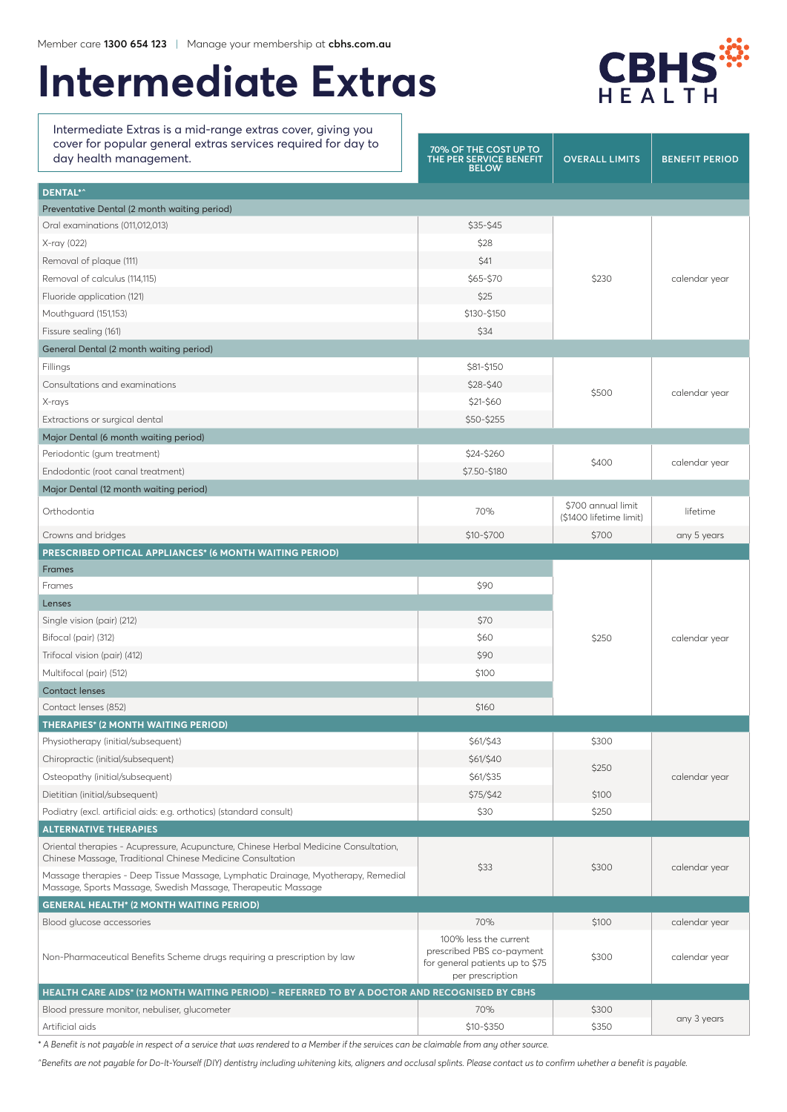# **Intermediate Extras**

Intermediate Extras is a mid-range extras cover, giving you cover for popular general extras services required for day to



| cover for popular general extras services required for day to<br>day health management.                                                            | 70% OF THE COST UP TO<br>THE PER SERVICE BENEFIT<br><b>BELOW</b>                                          | <b>OVERALL LIMITS</b>   | <b>BENEFIT PERIOD</b> |  |
|----------------------------------------------------------------------------------------------------------------------------------------------------|-----------------------------------------------------------------------------------------------------------|-------------------------|-----------------------|--|
| <b>DENTAL*^</b>                                                                                                                                    |                                                                                                           |                         |                       |  |
| Preventative Dental (2 month waiting period)                                                                                                       |                                                                                                           |                         |                       |  |
| Oral examinations (011,012,013)                                                                                                                    | \$35-\$45                                                                                                 |                         | calendar year         |  |
| X-ray (022)                                                                                                                                        | \$28                                                                                                      |                         |                       |  |
| Removal of plaque (111)                                                                                                                            | \$41                                                                                                      |                         |                       |  |
| Removal of calculus (114,115)                                                                                                                      | \$65-\$70                                                                                                 | \$230                   |                       |  |
| Fluoride application (121)                                                                                                                         | \$25                                                                                                      |                         |                       |  |
| Mouthquard (151,153)                                                                                                                               | \$130-\$150                                                                                               |                         |                       |  |
| Fissure sealing (161)                                                                                                                              | \$34                                                                                                      |                         |                       |  |
| General Dental (2 month waiting period)                                                                                                            |                                                                                                           |                         |                       |  |
| Fillings                                                                                                                                           | \$81-\$150                                                                                                | \$500                   | calendar year         |  |
| Consultations and examinations                                                                                                                     | \$28-\$40                                                                                                 |                         |                       |  |
| X-rays                                                                                                                                             | \$21-\$60                                                                                                 |                         |                       |  |
| Extractions or surgical dental                                                                                                                     | \$50-\$255                                                                                                |                         |                       |  |
| Major Dental (6 month waiting period)                                                                                                              |                                                                                                           |                         |                       |  |
| Periodontic (gum treatment)                                                                                                                        | \$24-\$260                                                                                                |                         | calendar year         |  |
| Endodontic (root canal treatment)                                                                                                                  | \$7.50-\$180                                                                                              | \$400                   |                       |  |
| Major Dental (12 month waiting period)                                                                                                             |                                                                                                           |                         |                       |  |
|                                                                                                                                                    |                                                                                                           | \$700 annual limit      |                       |  |
| Orthodontia                                                                                                                                        | 70%                                                                                                       | (\$1400 lifetime limit) | lifetime              |  |
| Crowns and bridges                                                                                                                                 | \$10-\$700                                                                                                | \$700                   | any 5 years           |  |
| PRESCRIBED OPTICAL APPLIANCES* (6 MONTH WAITING PERIOD)                                                                                            |                                                                                                           |                         |                       |  |
| <b>Frames</b>                                                                                                                                      |                                                                                                           |                         | calendar year         |  |
| Frames                                                                                                                                             | \$90                                                                                                      |                         |                       |  |
| Lenses                                                                                                                                             |                                                                                                           |                         |                       |  |
| Single vision (pair) (212)                                                                                                                         | \$70                                                                                                      | \$250                   |                       |  |
| Bifocal (pair) (312)                                                                                                                               | \$60                                                                                                      |                         |                       |  |
| Trifocal vision (pair) (412)                                                                                                                       | \$90                                                                                                      |                         |                       |  |
| Multifocal (pair) (512)                                                                                                                            | \$100                                                                                                     |                         |                       |  |
| <b>Contact lenses</b>                                                                                                                              |                                                                                                           |                         |                       |  |
| Contact lenses (852)                                                                                                                               | \$160                                                                                                     |                         |                       |  |
| <b>THERAPIES* (2 MONTH WAITING PERIOD)</b>                                                                                                         |                                                                                                           |                         |                       |  |
| Physiotherapy (initial/subsequent)                                                                                                                 | \$61/\$43                                                                                                 | \$300                   |                       |  |
| Chiropractic (initial/subsequent)                                                                                                                  | \$61/\$40                                                                                                 |                         | calendar year         |  |
| Osteopathy (initial/subsequent)                                                                                                                    | \$61/\$35                                                                                                 | \$250                   |                       |  |
| Dietitian (initial/subsequent)                                                                                                                     | \$75/\$42                                                                                                 | \$100                   |                       |  |
| Podiatry (excl. artificial aids: e.g. orthotics) (standard consult)                                                                                | \$30                                                                                                      | \$250                   |                       |  |
| <b>ALTERNATIVE THERAPIES</b>                                                                                                                       |                                                                                                           |                         |                       |  |
| Oriental therapies - Acupressure, Acupuncture, Chinese Herbal Medicine Consultation,<br>Chinese Massage, Traditional Chinese Medicine Consultation |                                                                                                           |                         | calendar year         |  |
| Massage therapies - Deep Tissue Massage, Lymphatic Drainage, Myotherapy, Remedial<br>Massage, Sports Massage, Swedish Massage, Therapeutic Massage | \$33                                                                                                      | \$300                   |                       |  |
| <b>GENERAL HEALTH* (2 MONTH WAITING PERIOD)</b>                                                                                                    |                                                                                                           |                         |                       |  |
| Blood glucose accessories                                                                                                                          | 70%                                                                                                       | \$100                   | calendar year         |  |
| Non-Pharmaceutical Benefits Scheme drugs requiring a prescription by law                                                                           | 100% less the current<br>prescribed PBS co-payment<br>for general patients up to \$75<br>per prescription | \$300                   | calendar year         |  |
| HEALTH CARE AIDS* (12 MONTH WAITING PERIOD) - REFERRED TO BY A DOCTOR AND RECOGNISED BY CBHS                                                       |                                                                                                           |                         |                       |  |
| Blood pressure monitor, nebuliser, glucometer                                                                                                      | 70%                                                                                                       | \$300                   | any 3 years           |  |
| Artificial aids                                                                                                                                    | \$10-\$350                                                                                                | \$350                   |                       |  |

*\* A Benefit is not payable in respect of a service that was rendered to a Member if the services can be claimable from any other source.*

*^Benefits are not payable for Do-It-Yourself (DIY) dentistry including whitening kits, aligners and occlusal splints. Please contact us to confirm whether a benefit is payable.*